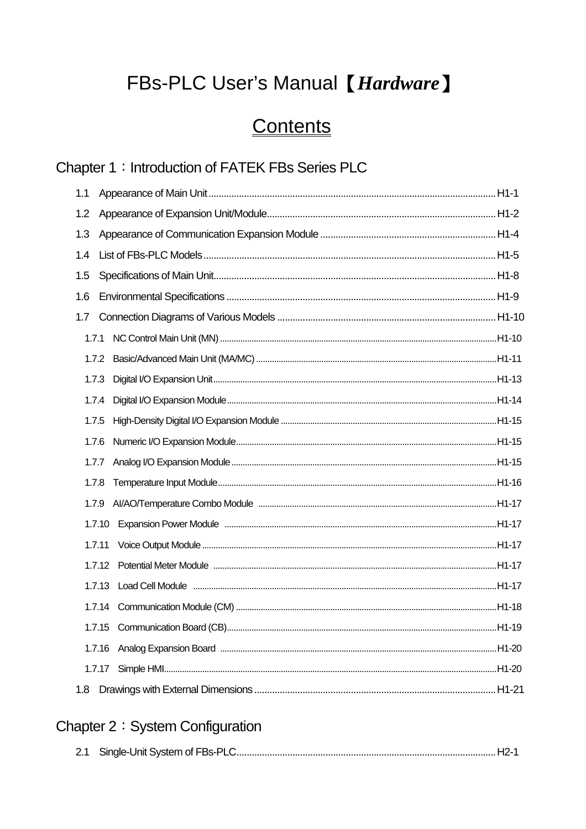# FBs-PLC User's Manual [Hardware]

# Contents

### Chapter 1: Introduction of FATEK FBs Series PLC

| 1.1 |        |  |
|-----|--------|--|
| 1.2 |        |  |
| 1.3 |        |  |
| 1.4 |        |  |
| 1.5 |        |  |
| 1.6 |        |  |
| 1.7 |        |  |
|     |        |  |
|     | 1.7.2  |  |
|     | 1.7.3  |  |
|     | 1.7.4  |  |
|     | 1.7.5  |  |
|     | 1.7.6  |  |
|     | 1.7.7  |  |
|     | 1.7.8  |  |
|     | 1.7.9  |  |
|     | 1.7.10 |  |
|     | 1.7.11 |  |
|     |        |  |
|     |        |  |
|     |        |  |
|     |        |  |
|     |        |  |
|     |        |  |
|     |        |  |

### Chapter 2: System Configuration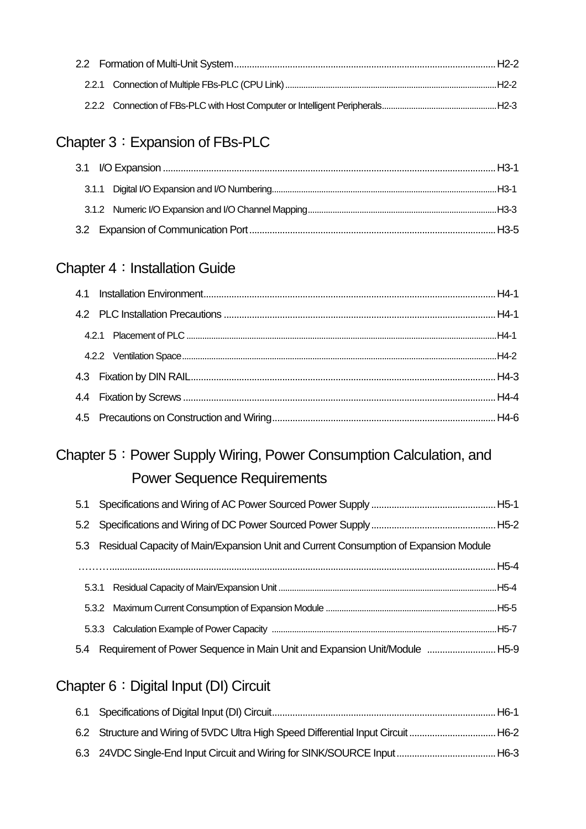### Chapter 3:Expansion of FBs-PLC

#### Chapter 4: Installation Guide

### Chapter 5: Power Supply Wiring, Power Consumption Calculation, and Power Sequence Requirements

| 5.3 Residual Capacity of Main/Expansion Unit and Current Consumption of Expansion Module |  |
|------------------------------------------------------------------------------------------|--|
|                                                                                          |  |
|                                                                                          |  |
|                                                                                          |  |
|                                                                                          |  |
| 5.4 Requirement of Power Sequence in Main Unit and Expansion Unit/Module  H5-9           |  |

### Chapter 6: Digital Input (DI) Circuit

| 6.2 Structure and Wiring of 5VDC Ultra High Speed Differential Input Circuit  H6-2 |  |
|------------------------------------------------------------------------------------|--|
|                                                                                    |  |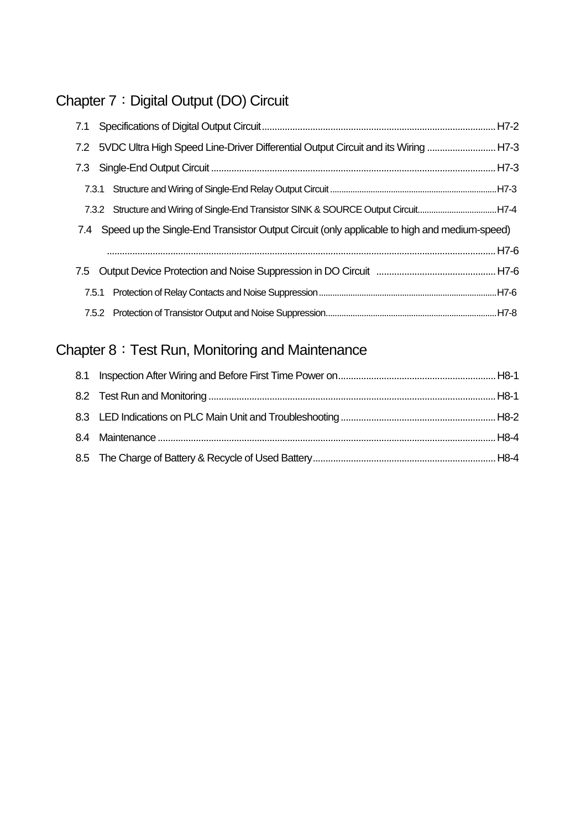## Chapter 7: Digital Output (DO) Circuit

| 7.2 5VDC Ultra High Speed Line-Driver Differential Output Circuit and its Wiring  H7-3           |  |
|--------------------------------------------------------------------------------------------------|--|
|                                                                                                  |  |
|                                                                                                  |  |
| 7.3.2 Structure and Wiring of Single-End Transistor SINK & SOURCE Output CircuitH7-4             |  |
| 7.4 Speed up the Single-End Transistor Output Circuit (only applicable to high and medium-speed) |  |
|                                                                                                  |  |
|                                                                                                  |  |
| 7.5.1                                                                                            |  |
|                                                                                                  |  |

### Chapter 8: Test Run, Monitoring and Maintenance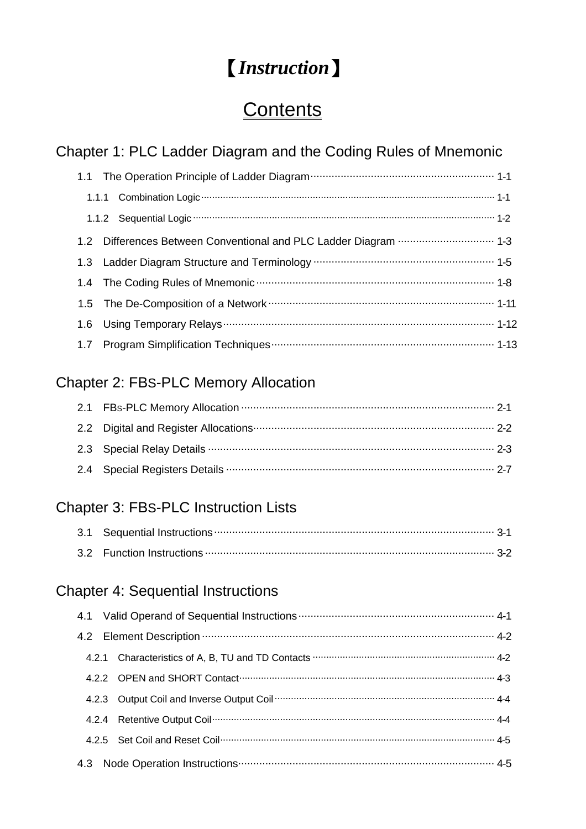## **[Instruction]**

## Contents

### Chapter 1: PLC Ladder Diagram and the Coding Rules of Mnemonic

|     | 1.1.2 Sequential Logic manufacture and contract the contract of the contract of the 1-2 |  |
|-----|-----------------------------------------------------------------------------------------|--|
|     | 1.2 Differences Between Conventional and PLC Ladder Diagram  1-3                        |  |
|     |                                                                                         |  |
|     |                                                                                         |  |
|     |                                                                                         |  |
| 1.6 |                                                                                         |  |
|     |                                                                                         |  |

#### **Chapter 2: FBS-PLC Memory Allocation**

| 2.4 Special Registers Details ……………………………………………………………………… 2-7 |  |
|---------------------------------------------------------------|--|

### **Chapter 3: FBS-PLC Instruction Lists**

### **Chapter 4: Sequential Instructions**

| 4.2.5 Set Coil and Reset Coil <b>continuum contract and Coil Coil Coil Coil</b> 4.5 |  |
|-------------------------------------------------------------------------------------|--|
|                                                                                     |  |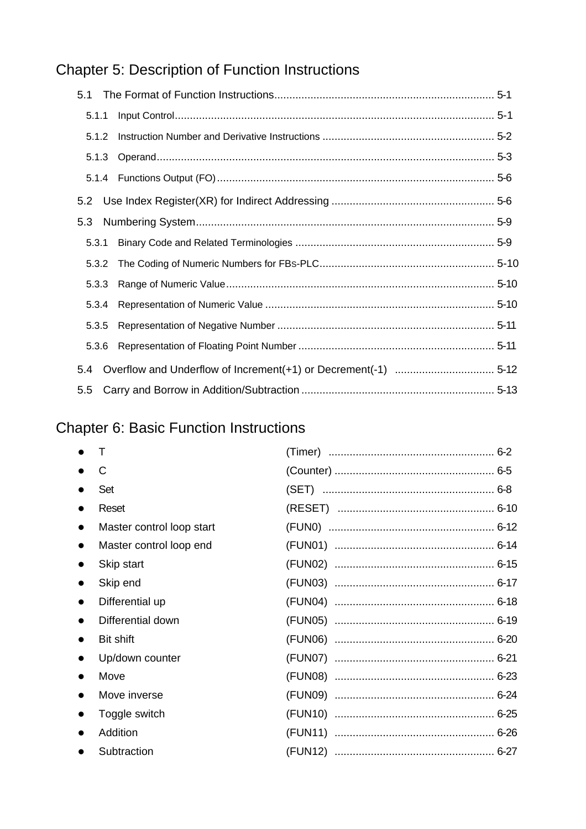### Chapter 5: Description of Function Instructions

| 5.1   |       |  |
|-------|-------|--|
| 5.1.1 |       |  |
| 5.1.2 |       |  |
|       | 5.1.3 |  |
|       |       |  |
| 5.2   |       |  |
| 5.3   |       |  |
| 5.3.1 |       |  |
| 5.3.2 |       |  |
| 5.3.3 |       |  |
| 5.3.4 |       |  |
| 5.3.5 |       |  |
| 5.3.6 |       |  |
| 5.4   |       |  |
| 5.5   |       |  |

### **Chapter 6: Basic Function Instructions**

|           | C                         |  |
|-----------|---------------------------|--|
|           | Set                       |  |
|           | Reset                     |  |
|           | Master control loop start |  |
| $\bullet$ | Master control loop end   |  |
|           | Skip start                |  |
|           | Skip end                  |  |
|           | Differential up           |  |
|           | Differential down         |  |
|           | <b>Bit shift</b>          |  |
|           | Up/down counter           |  |
|           | Move                      |  |
|           | Move inverse              |  |
|           | Toggle switch             |  |
|           | Addition                  |  |
|           | Subtraction               |  |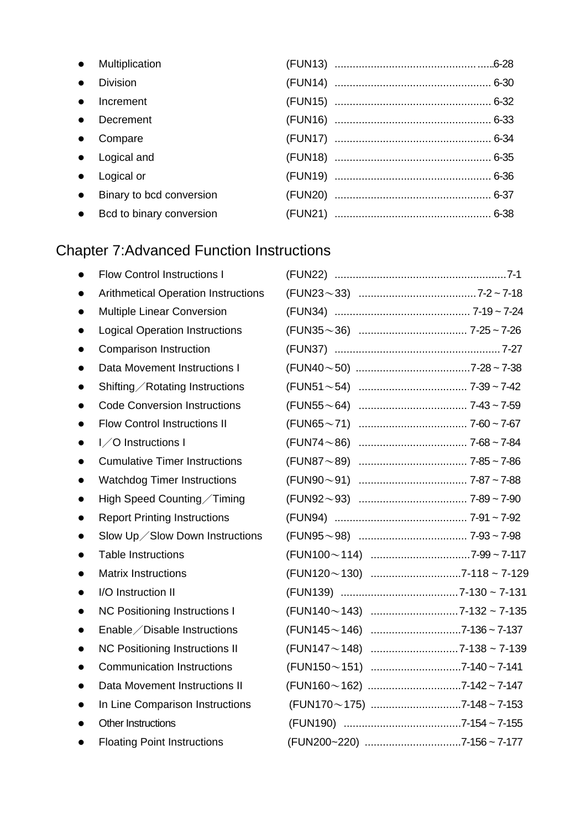|           | • Multiplication           |  |
|-----------|----------------------------|--|
| $\bullet$ | <b>Division</b>            |  |
| $\bullet$ | Increment                  |  |
| $\bullet$ | Decrement                  |  |
| $\bullet$ | Compare                    |  |
|           | • Logical and              |  |
|           | • Logical or               |  |
| $\bullet$ | Binary to bcd conversion   |  |
|           | • Bcd to binary conversion |  |

## Chapter 7:Advanced Function Instructions

|           | <b>Flow Control Instructions I</b>         |  |
|-----------|--------------------------------------------|--|
|           | <b>Arithmetical Operation Instructions</b> |  |
|           | <b>Multiple Linear Conversion</b>          |  |
|           | <b>Logical Operation Instructions</b>      |  |
|           | <b>Comparison Instruction</b>              |  |
|           | Data Movement Instructions I               |  |
| $\bullet$ | Shifting / Rotating Instructions           |  |
|           | <b>Code Conversion Instructions</b>        |  |
|           | <b>Flow Control Instructions II</b>        |  |
|           | I/O Instructions I                         |  |
|           | <b>Cumulative Timer Instructions</b>       |  |
|           | <b>Watchdog Timer Instructions</b>         |  |
| $\bullet$ | High Speed Counting / Timing               |  |
|           |                                            |  |
|           | <b>Report Printing Instructions</b>        |  |
|           | Slow Up / Slow Down Instructions           |  |
|           | <b>Table Instructions</b>                  |  |
|           | <b>Matrix Instructions</b>                 |  |
|           | I/O Instruction II                         |  |
|           | <b>NC Positioning Instructions I</b>       |  |
|           | Enable / Disable Instructions              |  |
|           | <b>NC Positioning Instructions II</b>      |  |
|           | <b>Communication Instructions</b>          |  |
|           | Data Movement Instructions II              |  |
|           | In Line Comparison Instructions            |  |
|           | <b>Other Instructions</b>                  |  |

| $\cdots$ 7-60 ~ 7-67<br>(FUN65~1)             |  |
|-----------------------------------------------|--|
| $\cdots$ 7-84<br>(FUN74 $\sim$ 86)            |  |
| (FUN87~89)                                    |  |
| (FUN90 $\sim$ 91)                             |  |
|                                               |  |
|                                               |  |
|                                               |  |
|                                               |  |
| (FUN120~130) 7-118 ~ 7-129                    |  |
|                                               |  |
|                                               |  |
| (FUN145~146) 7-136~7-137                      |  |
| $(FUN147 \sim 148)$<br>$\ldots$ 7-138 ~ 7-139 |  |
| (FUN150~151)                                  |  |
| (FUN160~162) 7-142~7-147                      |  |
|                                               |  |
|                                               |  |
| (FUN200~220) 7-156 ~ 7-177                    |  |